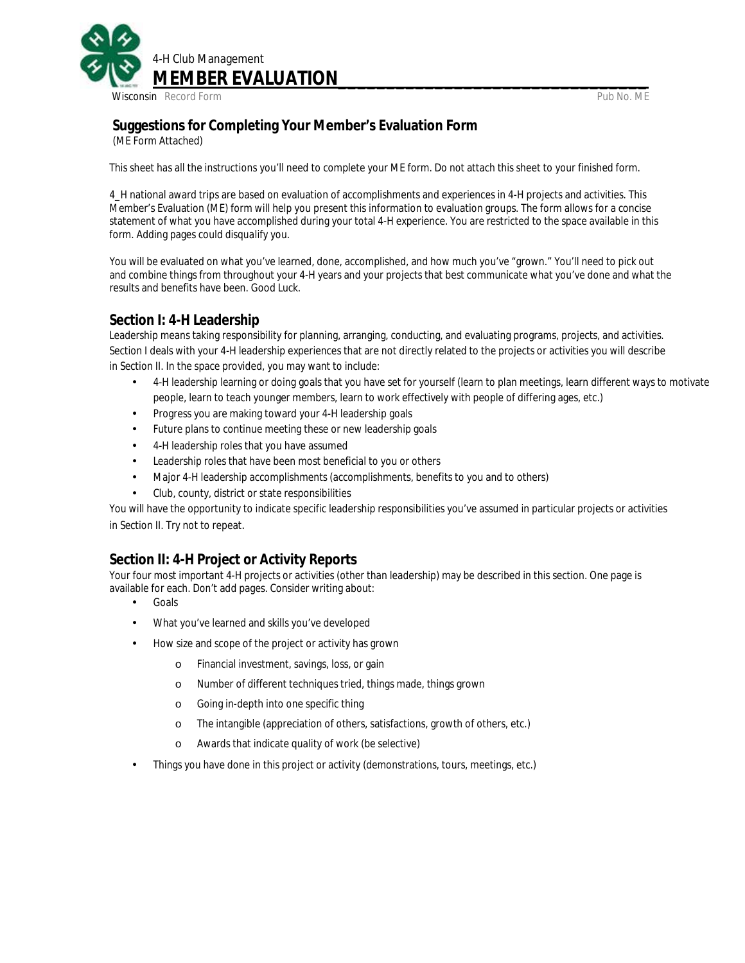

# **Suggestions for Completing Your Member's Evaluation Form** (ME Form Attached)

This sheet has all the instructions you'll need to complete your ME form. Do *not* attach this sheet to your finished form.

4\_H national award trips are based on evaluation of accomplishments and experiences in 4-H projects and activities. This Member's Evaluation (ME) form will help you present this information to evaluation groups. The form allows for a concise statement of what you have accomplished during your total 4-H experience. You are restricted to the space available in this form. Adding pages could *disqualify* you.

You will be evaluated on what you've learned, done, accomplished, and how much you've "grown." You'll need to pick out and combine things from throughout your 4-H years and your projects that best communicate what you've done and what the results and benefits have been. Good Luck.

#### **Section I: 4-H Leadership**

Leadership means taking responsibility for planning, arranging, conducting, and evaluating programs, projects, and activities. Section I deals with your 4-H leadership experiences that are not directly related to the projects or activities you will describe in Section II. In the space provided, you may want to include:

- 4-H leadership learning or doing goals that you have set for yourself (learn to plan meetings, learn different ways to motivate people, learn to teach younger members, learn to work effectively with people of differing ages, etc.)
- Progress you are making toward your 4-H leadership goals
- Future plans to continue meeting these or new leadership goals
- 4-H leadership roles that you have assumed  $\ddot{\phantom{a}}$
- Leadership roles that have been most beneficial to you or others
- Major 4-H leadership accomplishments (accomplishments, benefits to you and to others) ÷.
- Club, county, district or state responsibilities

You will have the opportunity to indicate specific leadership responsibilities you've assumed in particular projects or activities in Section II. Try not to repeat.

#### **Section II: 4-H Project or Activity Reports**

Your four most important 4-H projects or activities (other than leadership) may be described in this section. One page is available for each. *Don't* add pages. Consider writing about:

- Goals
- What you've learned and skills you've developed ×.
- How size and scope of the project or activity has grown
	- o Financial investment, savings, loss, or gain
	- o Number of different techniques tried, things made, things grown
	- o Going in-depth into one specific thing
	- o The intangible (appreciation of others, satisfactions, growth of others, etc.)
	- o Awards that indicate quality of work (be selective)
- Things you have done in this project or activity (demonstrations, tours, meetings, etc.)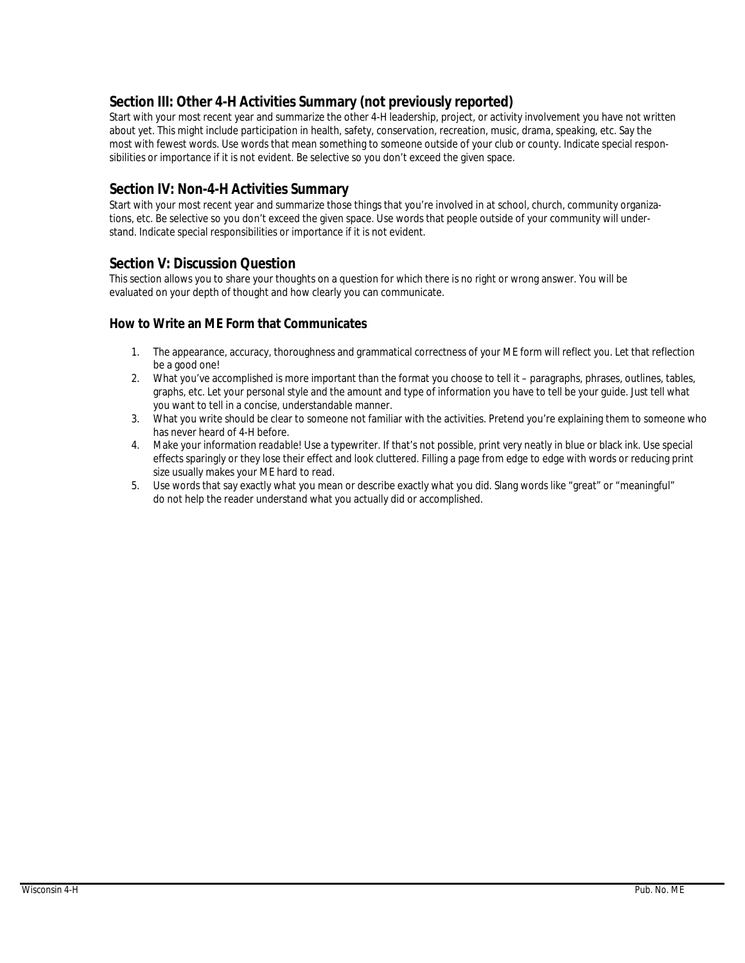## **Section III: Other 4-H Activities Summary (not previously reported)**

Start with your most recent year and summarize the other 4-H leadership, project, or activity involvement you have not written about yet. This might include participation in health, safety, conservation, recreation, music, drama, speaking, etc. Say the most with fewest words. Use words that mean something to someone outside of your club or county. Indicate special responsibilities or importance if it is not evident. Be selective so you don't exceed the given space.

#### **Section IV: Non-4-H Activities Summary**

Start with your most recent year and summarize those things that you're involved in at school, church, community organizations, etc. Be selective so you don't exceed the given space. Use words that people outside of your community will understand. Indicate special responsibilities or importance if it is not evident.

#### **Section V: Discussion Question**

This section allows you to share your thoughts on a question for which there is no right or wrong answer. You will be evaluated on your depth of thought and how clearly you can communicate.

#### **How to Write an ME Form that Communicates**

- 1. The appearance, accuracy, thoroughness and grammatical correctness of your ME form will reflect *you.* Let that reflection be a good one!
- 2. What you've accomplished is more important than the format you choose to tell it paragraphs, phrases, outlines, tables, graphs, etc. Let your personal style and the amount and type of information you have to tell be your guide. Just tell what you want to tell in a concise, understandable manner.
- 3. What you write should be clear to someone not familiar with the activities. Pretend you're explaining them to someone who has never heard of 4-H before.
- 4. Make your information *readable!* Use a typewriter. If that's not possible, print very neatly in blue or black ink. Use special effects sparingly or they lose their effect and look cluttered. Filling a page from edge to edge with words or reducing print size usually makes your ME hard to read.
- 5. Use words that say exactly what you mean or describe exactly what you did. Slang words like "great" or "meaningful" do not help the reader understand what you actually did or accomplished.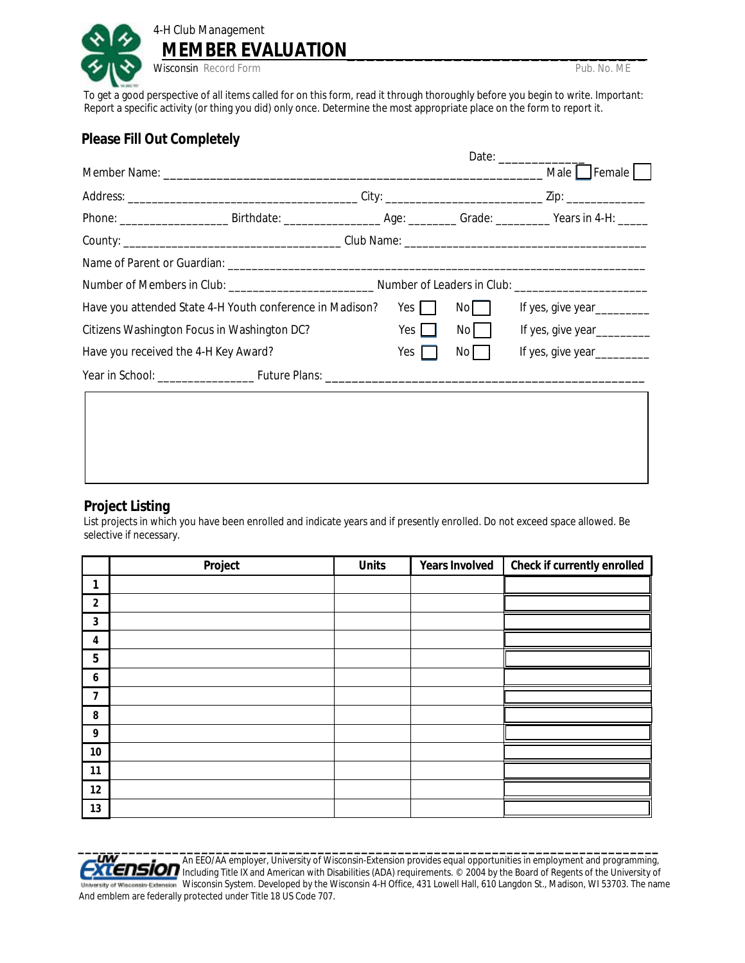

 To get a good perspective of all items called for on this form, read it through thoroughly before you begin to write. *Important:*  Report a specific activity (or thing you did) only once. Determine the most appropriate place on the form to report it.

### **Please Fill Out Completely**

|  | Phone: ________________________Birthdate: ______________________________Grade: ______________Years in 4-H: ______ |                     |      |                            |
|--|-------------------------------------------------------------------------------------------------------------------|---------------------|------|----------------------------|
|  |                                                                                                                   |                     |      |                            |
|  |                                                                                                                   |                     |      |                            |
|  |                                                                                                                   |                     |      |                            |
|  | Have you attended State 4-H Youth conference in Madison?                                                          | Yes $\vert$ $\vert$ | Nol  | If yes, give year_________ |
|  | Citizens Washington Focus in Washington DC?                                                                       | $Yes \mid \mid$     | No I | If yes, give year_________ |
|  | Have you received the 4-H Key Award?                                                                              | Yes $\vert$         | No I | If yes, give year_________ |
|  |                                                                                                                   |                     |      |                            |

#### **Project Listing**

List projects in which you have been enrolled and indicate years and if presently enrolled. Do not exceed space allowed. Be selective if necessary.

|                | Project | <b>Units</b> | Years Involved | Check if currently enrolled |
|----------------|---------|--------------|----------------|-----------------------------|
| 1              |         |              |                |                             |
| $\overline{2}$ |         |              |                |                             |
| 3              |         |              |                |                             |
| 4              |         |              |                |                             |
| 5              |         |              |                |                             |
| 6              |         |              |                |                             |
| 7              |         |              |                |                             |
| 8              |         |              |                |                             |
| 9              |         |              |                |                             |
| $10\,$         |         |              |                |                             |
| 11             |         |              |                |                             |
| 12             |         |              |                |                             |
| 13             |         |              |                |                             |

 **\_\_\_\_\_\_\_\_\_\_\_\_\_\_\_\_\_\_\_\_\_\_\_\_\_\_\_\_\_\_\_\_\_\_\_\_\_\_\_\_\_\_\_\_\_\_\_\_\_\_\_\_\_\_\_\_\_\_\_\_\_\_\_\_\_\_\_\_\_\_\_\_\_\_\_\_\_\_\_\_** An EEO/AA employer, University of Wisconsin-Extension provides equal opportunities in employment and programming, **EXTERSION** Including Title IX and American with Disabilities (ADA) requirements. © 2004 by the Board of Regents of the University of University of Wisconsin-Extension Wisconsin System. Developed by the Wisconsin 4-H Office, 431 Lowell Hall, 610 Langdon St., Madison, WI 53703. The name And emblem are federally protected under Title 18 US Code 707.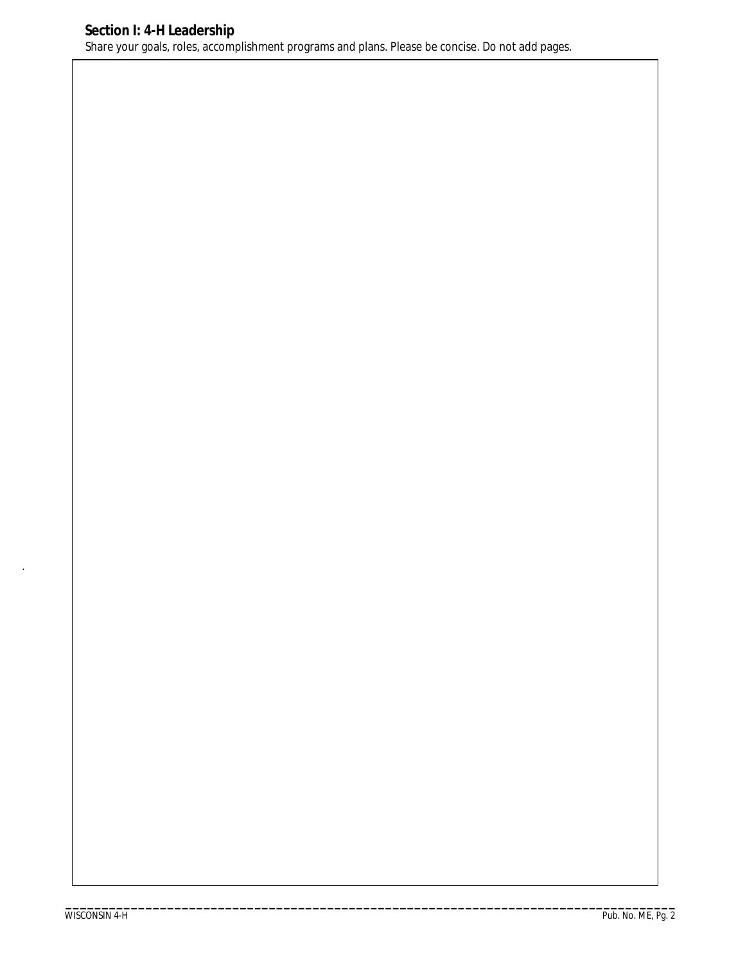.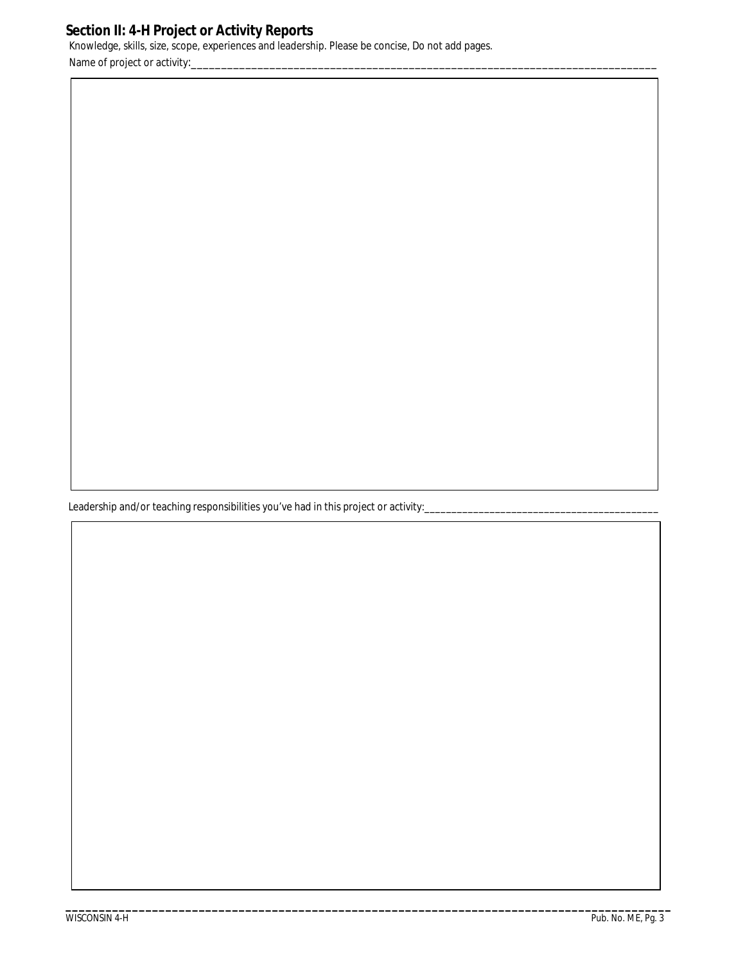## **Section II: 4-H Project or Activity Reports**

Knowledge, skills, size, scope, experiences and leadership. Please be concise, Do not add pages. Name of project or activity:

Leadership and/or teaching responsibilities you've had in this project or activity:\_\_

**\_\_\_\_\_\_\_\_\_\_\_\_\_\_\_\_\_\_\_\_\_\_\_\_\_\_\_\_\_\_\_\_\_\_\_\_\_\_\_\_\_\_\_\_\_\_\_\_\_\_\_\_\_\_\_\_\_\_\_\_\_\_\_\_\_\_\_\_\_\_\_\_\_\_\_\_\_\_\_\_\_\_\_\_\_\_\_\_\_\_\_**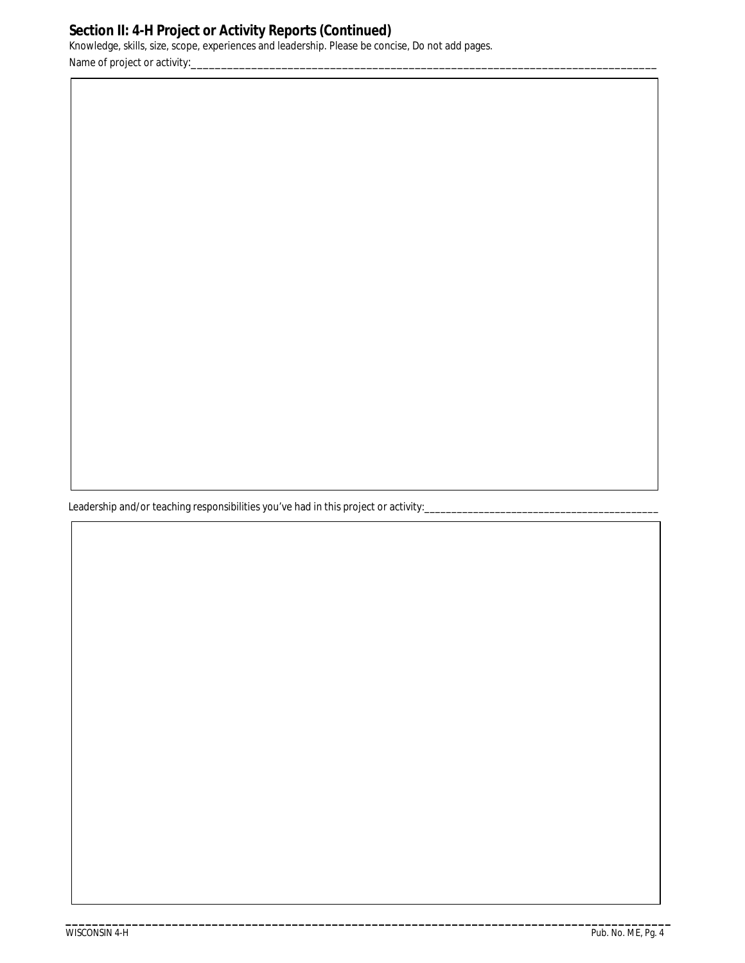# **Section II: 4-H Project or Activity Reports (Continued)**

 Knowledge, skills, size, scope, experiences and leadership. Please be concise, Do not add pages. Name of project or activity:

Leadership and/or teaching responsibilities you've had in this project or activity:\_\_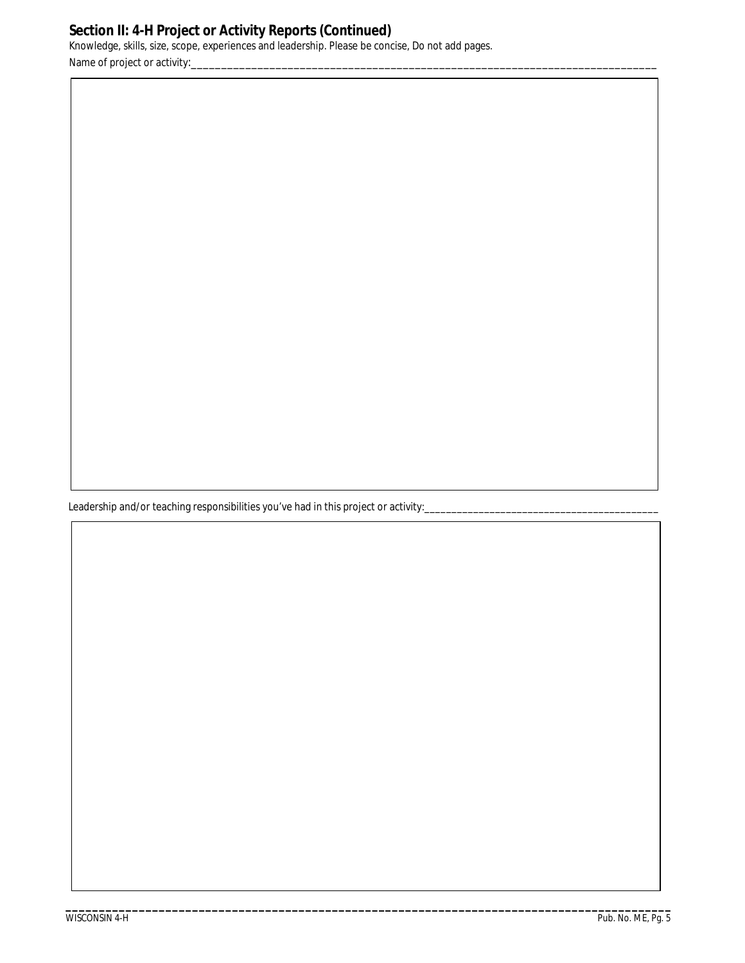## **Section II: 4-H Project or Activity Reports (Continued)**

 Knowledge, skills, size, scope, experiences and leadership. Please be concise, Do not add pages. Name of project or activity:

Leadership and/or teaching responsibilities you've had in this project or activity:\_\_

**\_\_\_\_\_\_\_\_\_\_\_\_\_\_\_\_\_\_\_\_\_\_\_\_\_\_\_\_\_\_\_\_\_\_\_\_\_\_\_\_\_\_\_\_\_\_\_\_\_\_\_\_\_\_\_\_\_\_\_\_\_\_\_\_\_\_\_\_\_\_\_\_\_\_\_\_\_\_\_\_\_\_\_\_\_\_\_\_\_\_\_**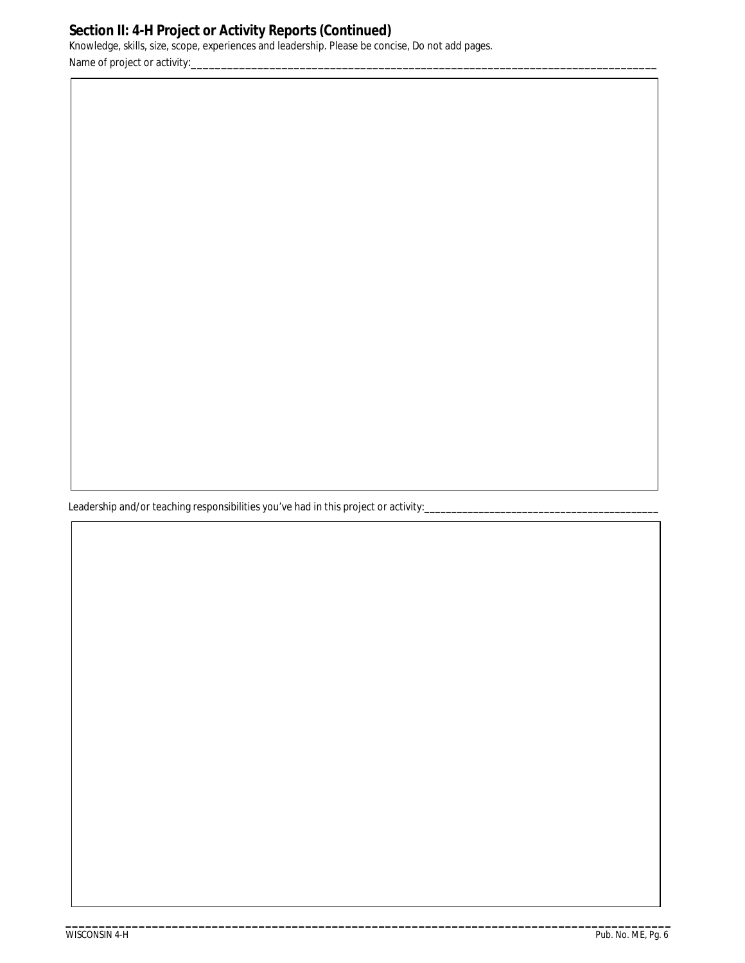# **Section II: 4-H Project or Activity Reports (Continued)**

 Knowledge, skills, size, scope, experiences and leadership. Please be concise, Do not add pages. Name of project or activity:

Leadership and/or teaching responsibilities you've had in this project or activity: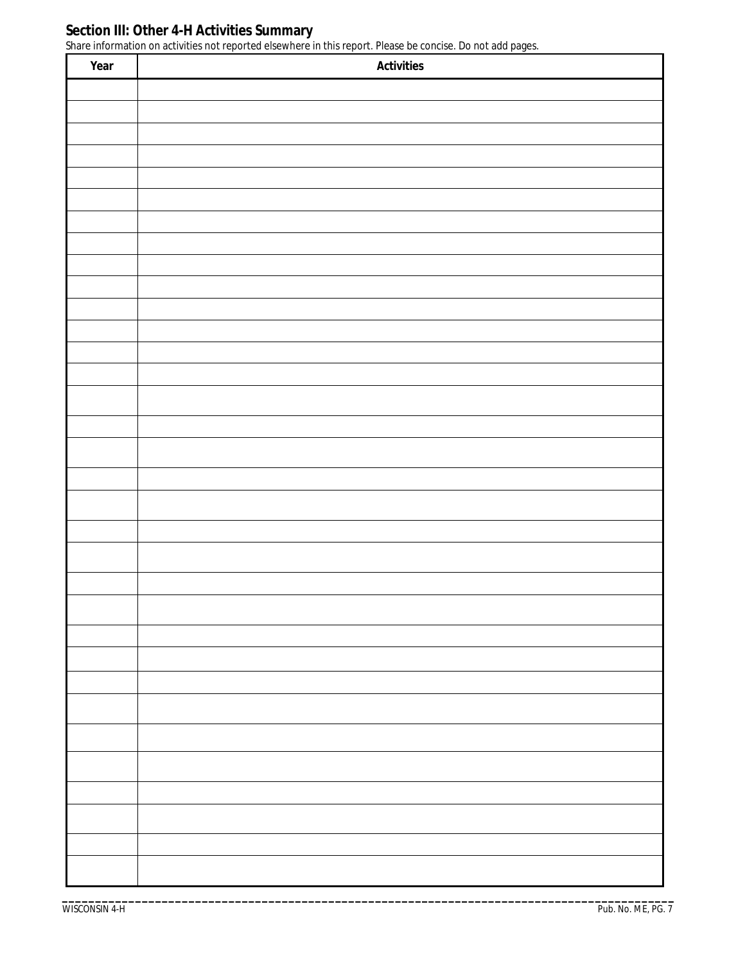#### **Section III: Other 4-H Activities Summary**

Share information on activities not reported elsewhere in this report. Please be concise. Do not add pages.

| Year | Activities |
|------|------------|
|      |            |
|      |            |
|      |            |
|      |            |
|      |            |
|      |            |
|      |            |
|      |            |
|      |            |
|      |            |
|      |            |
|      |            |
|      |            |
|      |            |
|      |            |
|      |            |
|      |            |
|      |            |
|      |            |
|      |            |
|      |            |
|      |            |
|      |            |
|      |            |
|      |            |
|      |            |
|      |            |
|      |            |
|      |            |
|      |            |
|      |            |
|      |            |
|      |            |